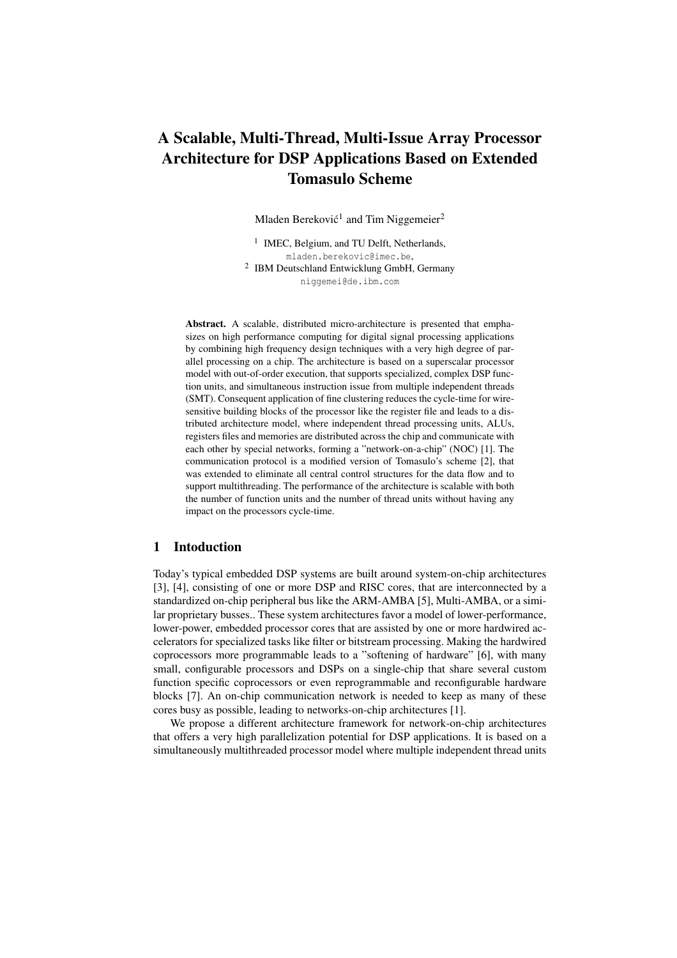# **A Scalable, Multi-Thread, Multi-Issue Array Processor Architecture for DSP Applications Based on Extended Tomasulo Scheme**

Mladen Bereković<sup>1</sup> and Tim Niggemeier<sup>2</sup>

<sup>1</sup> IMEC, Belgium, and TU Delft, Netherlands, mladen.berekovic@imec.be, <sup>2</sup> IBM Deutschland Entwicklung GmbH, Germany niggemei@de.ibm.com

**Abstract.** A scalable, distributed micro-architecture is presented that emphasizes on high performance computing for digital signal processing applications by combining high frequency design techniques with a very high degree of parallel processing on a chip. The architecture is based on a superscalar processor model with out-of-order execution, that supports specialized, complex DSP function units, and simultaneous instruction issue from multiple independent threads (SMT). Consequent application of fine clustering reduces the cycle-time for wiresensitive building blocks of the processor like the register file and leads to a distributed architecture model, where independent thread processing units, ALUs, registers files and memories are distributed across the chip and communicate with each other by special networks, forming a "network-on-a-chip" (NOC) [1]. The communication protocol is a modified version of Tomasulo's scheme [2], that was extended to eliminate all central control structures for the data flow and to support multithreading. The performance of the architecture is scalable with both the number of function units and the number of thread units without having any impact on the processors cycle-time.

### **1 Intoduction**

Today's typical embedded DSP systems are built around system-on-chip architectures [3], [4], consisting of one or more DSP and RISC cores, that are interconnected by a standardized on-chip peripheral bus like the ARM-AMBA [5], Multi-AMBA, or a similar proprietary busses.. These system architectures favor a model of lower-performance, lower-power, embedded processor cores that are assisted by one or more hardwired accelerators for specialized tasks like filter or bitstream processing. Making the hardwired coprocessors more programmable leads to a "softening of hardware" [6], with many small, configurable processors and DSPs on a single-chip that share several custom function specific coprocessors or even reprogrammable and reconfigurable hardware blocks [7]. An on-chip communication network is needed to keep as many of these cores busy as possible, leading to networks-on-chip architectures [1].

We propose a different architecture framework for network-on-chip architectures that offers a very high parallelization potential for DSP applications. It is based on a simultaneously multithreaded processor model where multiple independent thread units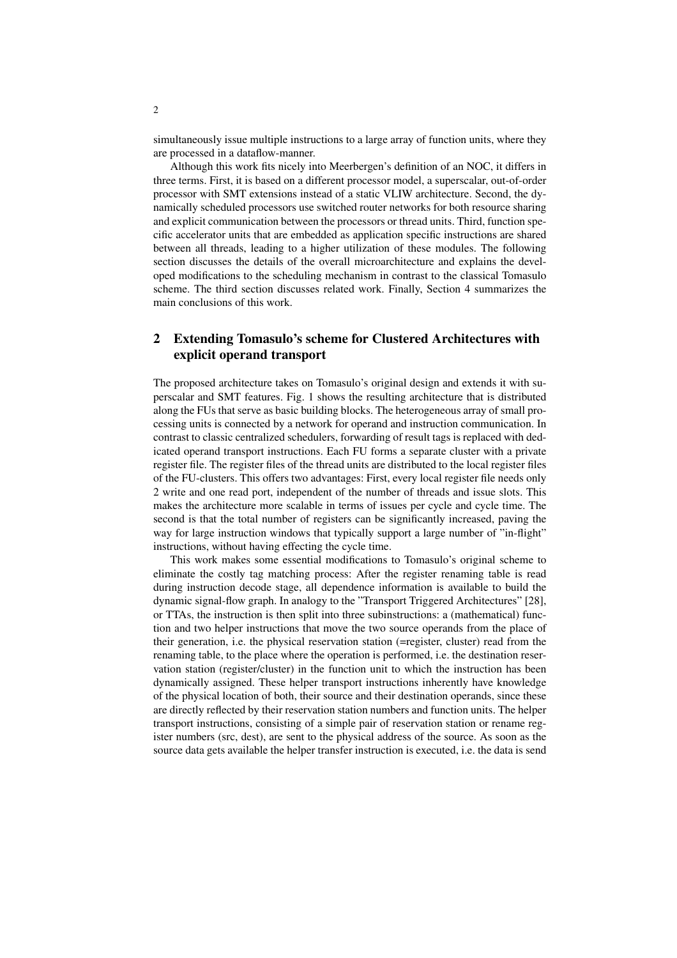simultaneously issue multiple instructions to a large array of function units, where they are processed in a dataflow-manner.

Although this work fits nicely into Meerbergen's definition of an NOC, it differs in three terms. First, it is based on a different processor model, a superscalar, out-of-order processor with SMT extensions instead of a static VLIW architecture. Second, the dynamically scheduled processors use switched router networks for both resource sharing and explicit communication between the processors or thread units. Third, function specific accelerator units that are embedded as application specific instructions are shared between all threads, leading to a higher utilization of these modules. The following section discusses the details of the overall microarchitecture and explains the developed modifications to the scheduling mechanism in contrast to the classical Tomasulo scheme. The third section discusses related work. Finally, Section 4 summarizes the main conclusions of this work.

## **2 Extending Tomasulo's scheme for Clustered Architectures with explicit operand transport**

The proposed architecture takes on Tomasulo's original design and extends it with superscalar and SMT features. Fig. 1 shows the resulting architecture that is distributed along the FUs that serve as basic building blocks. The heterogeneous array of small processing units is connected by a network for operand and instruction communication. In contrast to classic centralized schedulers, forwarding of result tags is replaced with dedicated operand transport instructions. Each FU forms a separate cluster with a private register file. The register files of the thread units are distributed to the local register files of the FU-clusters. This offers two advantages: First, every local register file needs only 2 write and one read port, independent of the number of threads and issue slots. This makes the architecture more scalable in terms of issues per cycle and cycle time. The second is that the total number of registers can be significantly increased, paving the way for large instruction windows that typically support a large number of "in-flight" instructions, without having effecting the cycle time.

This work makes some essential modifications to Tomasulo's original scheme to eliminate the costly tag matching process: After the register renaming table is read during instruction decode stage, all dependence information is available to build the dynamic signal-flow graph. In analogy to the "Transport Triggered Architectures" [28], or TTAs, the instruction is then split into three subinstructions: a (mathematical) function and two helper instructions that move the two source operands from the place of their generation, i.e. the physical reservation station (=register, cluster) read from the renaming table, to the place where the operation is performed, i.e. the destination reservation station (register/cluster) in the function unit to which the instruction has been dynamically assigned. These helper transport instructions inherently have knowledge of the physical location of both, their source and their destination operands, since these are directly reflected by their reservation station numbers and function units. The helper transport instructions, consisting of a simple pair of reservation station or rename register numbers (src, dest), are sent to the physical address of the source. As soon as the source data gets available the helper transfer instruction is executed, i.e. the data is send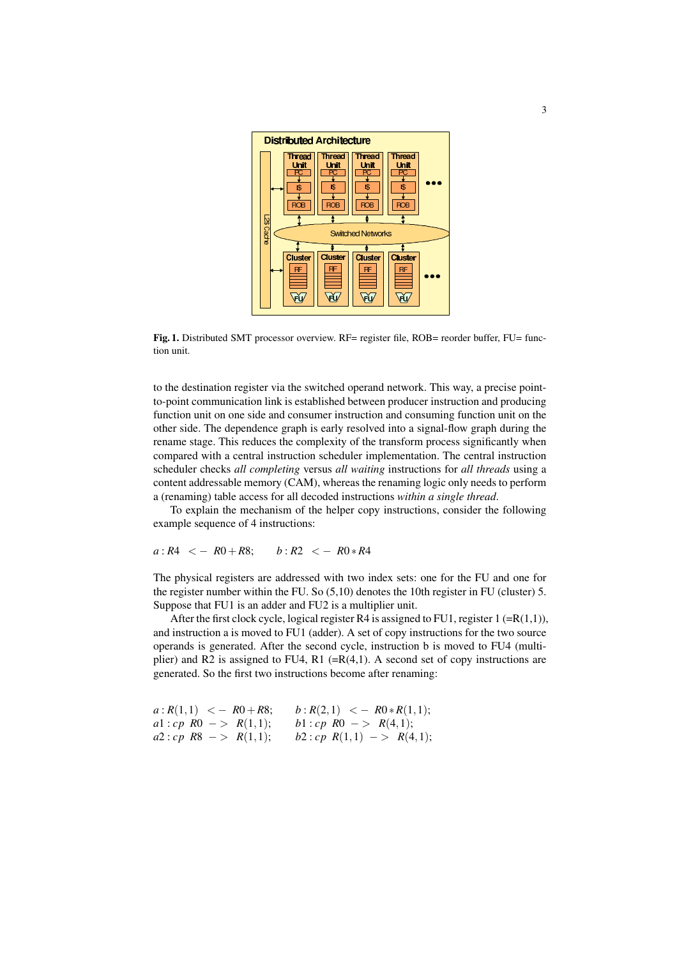

**Fig. 1.** Distributed SMT processor overview. RF= register file, ROB= reorder buffer, FU= function unit.

to the destination register via the switched operand network. This way, a precise pointto-point communication link is established between producer instruction and producing function unit on one side and consumer instruction and consuming function unit on the other side. The dependence graph is early resolved into a signal-flow graph during the rename stage. This reduces the complexity of the transform process significantly when compared with a central instruction scheduler implementation. The central instruction scheduler checks *all completing* versus *all waiting* instructions for *all threads* using a content addressable memory (CAM), whereas the renaming logic only needs to perform a (renaming) table access for all decoded instructions *within a single thread*.

To explain the mechanism of the helper copy instructions, consider the following example sequence of 4 instructions:

$$
a: R4 < -R0 + R8
$$
;  $b: R2 < -R0 * R4$ 

The physical registers are addressed with two index sets: one for the FU and one for the register number within the FU. So (5,10) denotes the 10th register in FU (cluster) 5. Suppose that FU1 is an adder and FU2 is a multiplier unit.

After the first clock cycle, logical register R4 is assigned to FU1, register  $1 (=R(1,1))$ , and instruction a is moved to FU1 (adder). A set of copy instructions for the two source operands is generated. After the second cycle, instruction b is moved to FU4 (multiplier) and R2 is assigned to FU4, R1  $(=R(4,1)$ . A second set of copy instructions are generated. So the first two instructions become after renaming:

| $a: R(1,1) < -R0+R8;$           | $b: R(2,1) \leq -R0 * R(1,1);$ |
|---------------------------------|--------------------------------|
| al: cp $R0 \rightarrow R(1,1);$ | $b1:cp \, R0 \, >> \, R(4,1);$ |
| $a2:cp \, R8 \, -> \, R(1,1);$  | $b2:cp R(1,1) -> R(4,1);$      |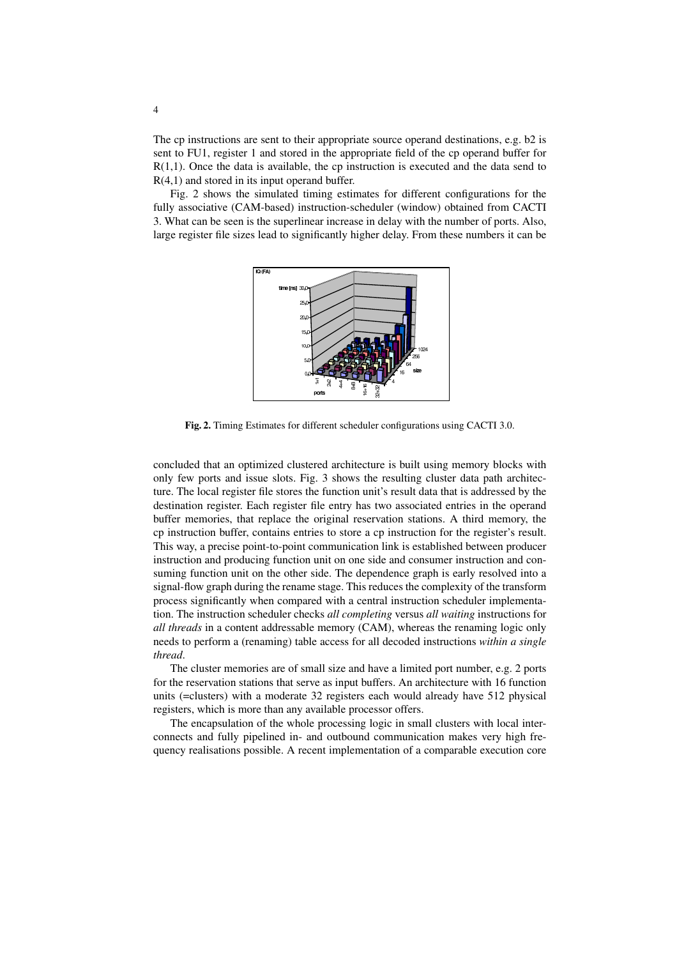The cp instructions are sent to their appropriate source operand destinations, e.g. b2 is sent to FU1, register 1 and stored in the appropriate field of the cp operand buffer for R(1,1). Once the data is available, the cp instruction is executed and the data send to R(4,1) and stored in its input operand buffer.

Fig. 2 shows the simulated timing estimates for different configurations for the fully associative (CAM-based) instruction-scheduler (window) obtained from CACTI 3. What can be seen is the superlinear increase in delay with the number of ports. Also, large register file sizes lead to significantly higher delay. From these numbers it can be



**Fig. 2.** Timing Estimates for different scheduler configurations using CACTI 3.0.

concluded that an optimized clustered architecture is built using memory blocks with only few ports and issue slots. Fig. 3 shows the resulting cluster data path architecture. The local register file stores the function unit's result data that is addressed by the destination register. Each register file entry has two associated entries in the operand buffer memories, that replace the original reservation stations. A third memory, the cp instruction buffer, contains entries to store a cp instruction for the register's result. This way, a precise point-to-point communication link is established between producer instruction and producing function unit on one side and consumer instruction and consuming function unit on the other side. The dependence graph is early resolved into a signal-flow graph during the rename stage. This reduces the complexity of the transform process significantly when compared with a central instruction scheduler implementation. The instruction scheduler checks *all completing* versus *all waiting* instructions for *all threads* in a content addressable memory (CAM), whereas the renaming logic only needs to perform a (renaming) table access for all decoded instructions *within a single thread*.

The cluster memories are of small size and have a limited port number, e.g. 2 ports for the reservation stations that serve as input buffers. An architecture with 16 function units (=clusters) with a moderate 32 registers each would already have 512 physical registers, which is more than any available processor offers.

The encapsulation of the whole processing logic in small clusters with local interconnects and fully pipelined in- and outbound communication makes very high frequency realisations possible. A recent implementation of a comparable execution core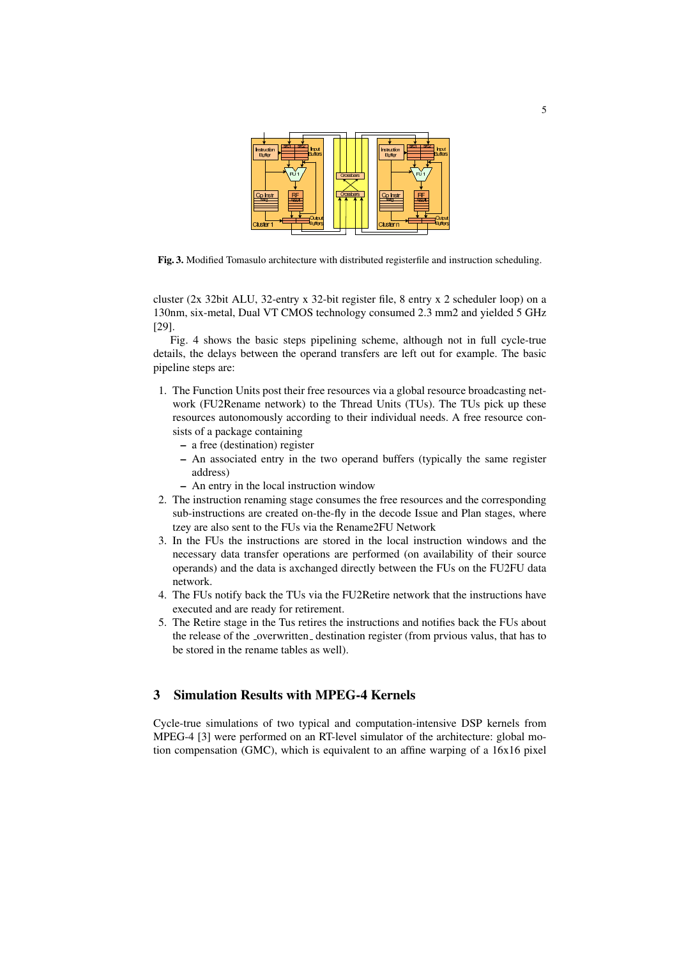

**Fig. 3.** Modified Tomasulo architecture with distributed registerfile and instruction scheduling.

cluster (2x 32bit ALU, 32-entry x 32-bit register file, 8 entry x 2 scheduler loop) on a 130nm, six-metal, Dual VT CMOS technology consumed 2.3 mm2 and yielded 5 GHz [29].

Fig. 4 shows the basic steps pipelining scheme, although not in full cycle-true details, the delays between the operand transfers are left out for example. The basic pipeline steps are:

- 1. The Function Units post their free resources via a global resource broadcasting network (FU2Rename network) to the Thread Units (TUs). The TUs pick up these resources autonomously according to their individual needs. A free resource consists of a package containing
	- **–** a free (destination) register
	- **–** An associated entry in the two operand buffers (typically the same register address)
	- **–** An entry in the local instruction window
- 2. The instruction renaming stage consumes the free resources and the corresponding sub-instructions are created on-the-fly in the decode Issue and Plan stages, where tzey are also sent to the FUs via the Rename2FU Network
- 3. In the FUs the instructions are stored in the local instruction windows and the necessary data transfer operations are performed (on availability of their source operands) and the data is axchanged directly between the FUs on the FU2FU data network.
- 4. The FUs notify back the TUs via the FU2Retire network that the instructions have executed and are ready for retirement.
- 5. The Retire stage in the Tus retires the instructions and notifies back the FUs about the release of the \_overwritten\_ destination register (from prvious valus, that has to be stored in the rename tables as well).

## **3 Simulation Results with MPEG-4 Kernels**

Cycle-true simulations of two typical and computation-intensive DSP kernels from MPEG-4 [3] were performed on an RT-level simulator of the architecture: global motion compensation (GMC), which is equivalent to an affine warping of a 16x16 pixel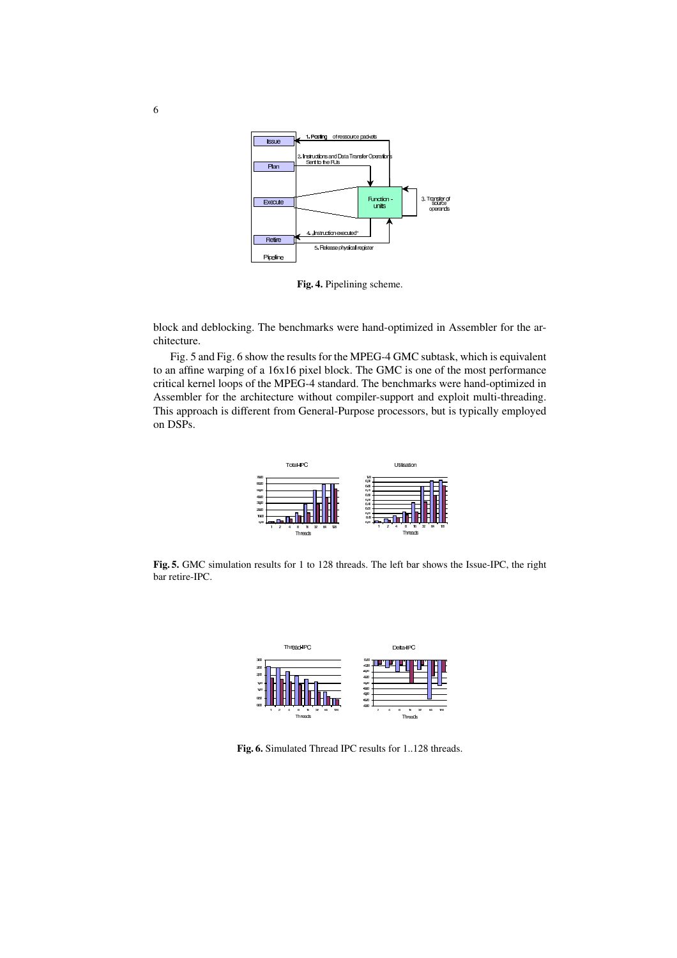

**Fig. 4.** Pipelining scheme.

block and deblocking. The benchmarks were hand-optimized in Assembler for the architecture.

Fig. 5 and Fig. 6 show the results for the MPEG-4 GMC subtask, which is equivalent to an affine warping of a 16x16 pixel block. The GMC is one of the most performance critical kernel loops of the MPEG-4 standard. The benchmarks were hand-optimized in Assembler for the architecture without compiler-support and exploit multi-threading. This approach is different from General-Purpose processors, but is typically employed on DSPs.



**Fig. 5.** GMC simulation results for 1 to 128 threads. The left bar shows the Issue-IPC, the right bar retire-IPC.



**Fig. 6.** Simulated Thread IPC results for 1..128 threads.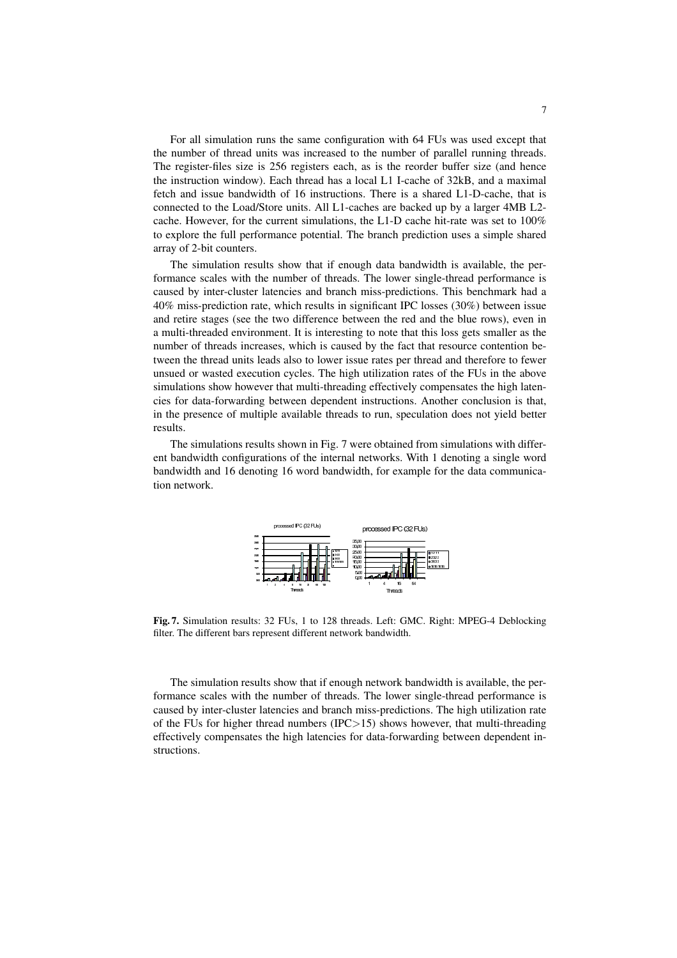For all simulation runs the same configuration with 64 FUs was used except that the number of thread units was increased to the number of parallel running threads. The register-files size is 256 registers each, as is the reorder buffer size (and hence the instruction window). Each thread has a local L1 I-cache of 32kB, and a maximal fetch and issue bandwidth of 16 instructions. There is a shared L1-D-cache, that is connected to the Load/Store units. All L1-caches are backed up by a larger 4MB L2 cache. However, for the current simulations, the L1-D cache hit-rate was set to 100% to explore the full performance potential. The branch prediction uses a simple shared array of 2-bit counters.

The simulation results show that if enough data bandwidth is available, the performance scales with the number of threads. The lower single-thread performance is caused by inter-cluster latencies and branch miss-predictions. This benchmark had a 40% miss-prediction rate, which results in significant IPC losses (30%) between issue and retire stages (see the two difference between the red and the blue rows), even in a multi-threaded environment. It is interesting to note that this loss gets smaller as the number of threads increases, which is caused by the fact that resource contention between the thread units leads also to lower issue rates per thread and therefore to fewer unsued or wasted execution cycles. The high utilization rates of the FUs in the above simulations show however that multi-threading effectively compensates the high latencies for data-forwarding between dependent instructions. Another conclusion is that, in the presence of multiple available threads to run, speculation does not yield better results.

The simulations results shown in Fig. 7 were obtained from simulations with different bandwidth configurations of the internal networks. With 1 denoting a single word bandwidth and 16 denoting 16 word bandwidth, for example for the data communication network.



**Fig. 7.** Simulation results: 32 FUs, 1 to 128 threads. Left: GMC. Right: MPEG-4 Deblocking filter. The different bars represent different network bandwidth.

The simulation results show that if enough network bandwidth is available, the performance scales with the number of threads. The lower single-thread performance is caused by inter-cluster latencies and branch miss-predictions. The high utilization rate of the FUs for higher thread numbers (IPC>15) shows however, that multi-threading effectively compensates the high latencies for data-forwarding between dependent instructions.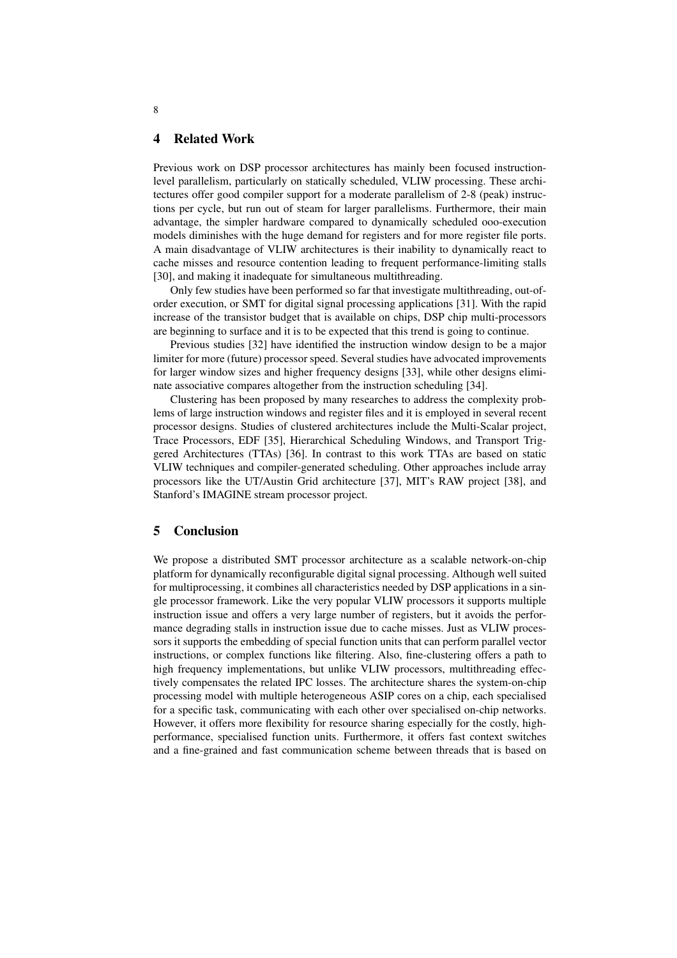### **4 Related Work**

Previous work on DSP processor architectures has mainly been focused instructionlevel parallelism, particularly on statically scheduled, VLIW processing. These architectures offer good compiler support for a moderate parallelism of 2-8 (peak) instructions per cycle, but run out of steam for larger parallelisms. Furthermore, their main advantage, the simpler hardware compared to dynamically scheduled ooo-execution models diminishes with the huge demand for registers and for more register file ports. A main disadvantage of VLIW architectures is their inability to dynamically react to cache misses and resource contention leading to frequent performance-limiting stalls [30], and making it inadequate for simultaneous multithreading.

Only few studies have been performed so far that investigate multithreading, out-oforder execution, or SMT for digital signal processing applications [31]. With the rapid increase of the transistor budget that is available on chips, DSP chip multi-processors are beginning to surface and it is to be expected that this trend is going to continue.

Previous studies [32] have identified the instruction window design to be a major limiter for more (future) processor speed. Several studies have advocated improvements for larger window sizes and higher frequency designs [33], while other designs eliminate associative compares altogether from the instruction scheduling [34].

Clustering has been proposed by many researches to address the complexity problems of large instruction windows and register files and it is employed in several recent processor designs. Studies of clustered architectures include the Multi-Scalar project, Trace Processors, EDF [35], Hierarchical Scheduling Windows, and Transport Triggered Architectures (TTAs) [36]. In contrast to this work TTAs are based on static VLIW techniques and compiler-generated scheduling. Other approaches include array processors like the UT/Austin Grid architecture [37], MIT's RAW project [38], and Stanford's IMAGINE stream processor project.

### **5 Conclusion**

We propose a distributed SMT processor architecture as a scalable network-on-chip platform for dynamically reconfigurable digital signal processing. Although well suited for multiprocessing, it combines all characteristics needed by DSP applications in a single processor framework. Like the very popular VLIW processors it supports multiple instruction issue and offers a very large number of registers, but it avoids the performance degrading stalls in instruction issue due to cache misses. Just as VLIW processors it supports the embedding of special function units that can perform parallel vector instructions, or complex functions like filtering. Also, fine-clustering offers a path to high frequency implementations, but unlike VLIW processors, multithreading effectively compensates the related IPC losses. The architecture shares the system-on-chip processing model with multiple heterogeneous ASIP cores on a chip, each specialised for a specific task, communicating with each other over specialised on-chip networks. However, it offers more flexibility for resource sharing especially for the costly, highperformance, specialised function units. Furthermore, it offers fast context switches and a fine-grained and fast communication scheme between threads that is based on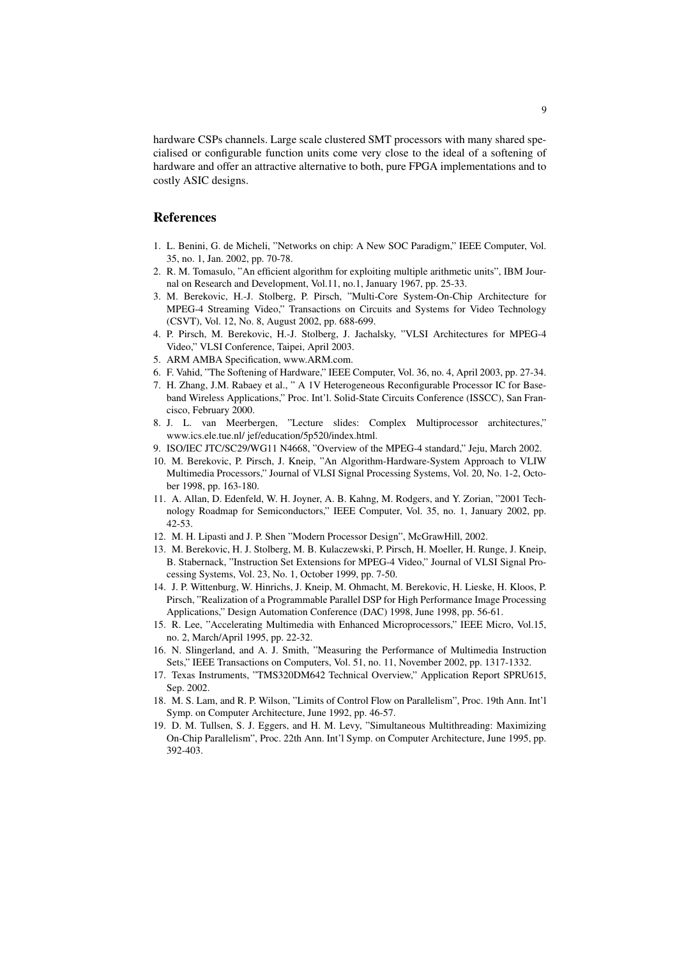hardware CSPs channels. Large scale clustered SMT processors with many shared specialised or configurable function units come very close to the ideal of a softening of hardware and offer an attractive alternative to both, pure FPGA implementations and to costly ASIC designs.

## **References**

- 1. L. Benini, G. de Micheli, "Networks on chip: A New SOC Paradigm," IEEE Computer, Vol. 35, no. 1, Jan. 2002, pp. 70-78.
- 2. R. M. Tomasulo, "An efficient algorithm for exploiting multiple arithmetic units", IBM Journal on Research and Development, Vol.11, no.1, January 1967, pp. 25-33.
- 3. M. Berekovic, H.-J. Stolberg, P. Pirsch, "Multi-Core System-On-Chip Architecture for MPEG-4 Streaming Video," Transactions on Circuits and Systems for Video Technology (CSVT), Vol. 12, No. 8, August 2002, pp. 688-699.
- 4. P. Pirsch, M. Berekovic, H.-J. Stolberg, J. Jachalsky, "VLSI Architectures for MPEG-4 Video," VLSI Conference, Taipei, April 2003.
- 5. ARM AMBA Specification, www.ARM.com.
- 6. F. Vahid, "The Softening of Hardware," IEEE Computer, Vol. 36, no. 4, April 2003, pp. 27-34.
- 7. H. Zhang, J.M. Rabaey et al., " A 1V Heterogeneous Reconfigurable Processor IC for Baseband Wireless Applications," Proc. Int'l. Solid-State Circuits Conference (ISSCC), San Francisco, February 2000.
- 8. J. L. van Meerbergen, "Lecture slides: Complex Multiprocessor architectures," www.ics.ele.tue.nl/ jef/education/5p520/index.html.
- 9. ISO/IEC JTC/SC29/WG11 N4668, "Overview of the MPEG-4 standard," Jeju, March 2002.
- 10. M. Berekovic, P. Pirsch, J. Kneip, "An Algorithm-Hardware-System Approach to VLIW Multimedia Processors," Journal of VLSI Signal Processing Systems, Vol. 20, No. 1-2, October 1998, pp. 163-180.
- 11. A. Allan, D. Edenfeld, W. H. Joyner, A. B. Kahng, M. Rodgers, and Y. Zorian, "2001 Technology Roadmap for Semiconductors," IEEE Computer, Vol. 35, no. 1, January 2002, pp. 42-53.
- 12. M. H. Lipasti and J. P. Shen "Modern Processor Design", McGrawHill, 2002.
- 13. M. Berekovic, H. J. Stolberg, M. B. Kulaczewski, P. Pirsch, H. Moeller, H. Runge, J. Kneip, B. Stabernack, "Instruction Set Extensions for MPEG-4 Video," Journal of VLSI Signal Processing Systems, Vol. 23, No. 1, October 1999, pp. 7-50.
- 14. J. P. Wittenburg, W. Hinrichs, J. Kneip, M. Ohmacht, M. Berekovic, H. Lieske, H. Kloos, P. Pirsch, "Realization of a Programmable Parallel DSP for High Performance Image Processing Applications," Design Automation Conference (DAC) 1998, June 1998, pp. 56-61.
- 15. R. Lee, "Accelerating Multimedia with Enhanced Microprocessors," IEEE Micro, Vol.15, no. 2, March/April 1995, pp. 22-32.
- 16. N. Slingerland, and A. J. Smith, "Measuring the Performance of Multimedia Instruction Sets," IEEE Transactions on Computers, Vol. 51, no. 11, November 2002, pp. 1317-1332.
- 17. Texas Instruments, "TMS320DM642 Technical Overview," Application Report SPRU615, Sep. 2002.
- 18. M. S. Lam, and R. P. Wilson, "Limits of Control Flow on Parallelism", Proc. 19th Ann. Int'l Symp. on Computer Architecture, June 1992, pp. 46-57.
- 19. D. M. Tullsen, S. J. Eggers, and H. M. Levy, "Simultaneous Multithreading: Maximizing On-Chip Parallelism", Proc. 22th Ann. Int'l Symp. on Computer Architecture, June 1995, pp. 392-403.